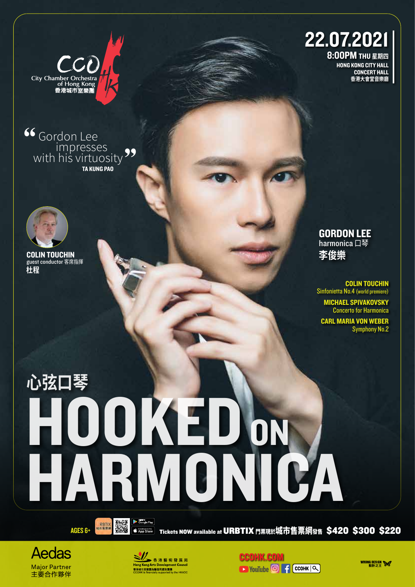

Gordon Lee TA KUNG PAO with his virtuosity<sup>99</sup>



COLIN TOUCHIN guest conductor 客席指揮 **杜程**

## 22.07.2021

8:00PM THU **星期四** HONG KONG CITY HALL CONCERT HALL **香港大會堂音樂廳**

GORDON LEE harmonica 口琴 **李俊樂**

COLIN TOUCHIN Sinfonietta No.4 (world premiere)

MICHAEL SPIVAKOVSKY Concerto for Harmonica

CARL MARIA VON WEBER Symphony No.2

## **心弦口琴 OOKED ON A**<br>ARMONICA HARMONI



AGES 6+ The Second of App Store Tickets NOW available at URBTIX 門票現於城市售票網發售 \$420 \$300 \$220





**CCOHK.COM EXP** YouTube **<sup>6</sup> f cCOHK**  $\alpha$